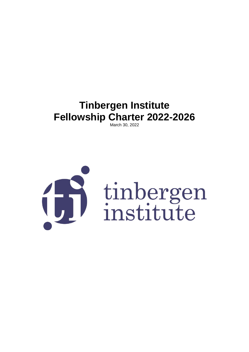# **Tinbergen Institute Fellowship Charter 2022-2026**

March 30, 2022

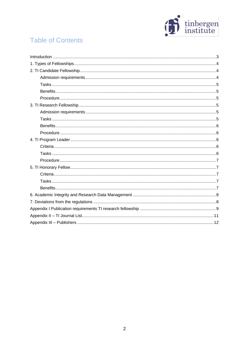

# **Table of Contents**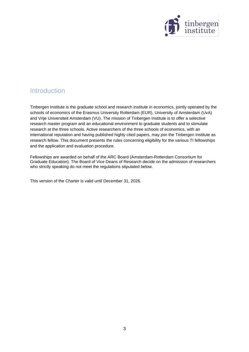

### <span id="page-2-0"></span>**Introduction**

Tinbergen Institute is the graduate school and research institute in economics, jointly operated by the schools of economics of the Erasmus University Rotterdam (EUR), University of Amsterdam (UvA) and Vrije Universiteit Amsterdam (VU). The mission of Tinbergen Institute is to offer a selective research master program and an educational environment to graduate students and to stimulate research at the three schools. Active researchers of the three schools of economics, with an international reputation and having published highly cited papers, may join the Tinbergen Institute as research fellow. This document presents the rules concerning eligibility for the various TI fellowships and the application and evaluation procedure.

Fellowships are awarded on behalf of the ARC Board (Amsterdam-Rotterdam Consortium for Graduate Education). The Board of Vice Deans of Research decide on the admission of researchers who strictly speaking do not meet the regulations stipulated below.

This version of the Charter is valid until December 31, 2026.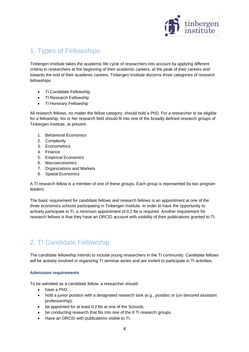

# <span id="page-3-0"></span>1. Types of Fellowships

Tinbergen Institute takes the academic life cycle of researchers into account by applying different criteria to researchers at the beginning of their academic careers, at the peak of their careers and towards the end of their academic careers. Tinbergen Institute discerns three categories of research fellowships:

- TI Candidate Fellowship
- TI Research Fellowship
- TI Honorary Fellowship

All research fellows, no matter the fellow category, should hold a PhD. For a researcher to be eligible for a fellowship, his or her research field should fit into one of the broadly defined research groups of Tinbergen Institute, at present:

- 1. Behavioral Economics
- 2. Complexity
- 3. Econometrics
- 4. Finance
- 5. Empirical Economics
- 6. Macroeconomics
- 7. Organizations and Markets
- 8. Spatial Economics

A TI research fellow is a member of one of these groups. Each group is represented by two program leaders.

The basic requirement for candidate fellows and research fellows is an appointment at one of the three economics schools participating in Tinbergen Institute. In order to have the opportunity to actively participate in TI, a minimum appointment of 0.2 fte is required. Another requirement for research fellows is that they have an ORCID account with visibility of their publications granted to TI.

# <span id="page-3-1"></span>2. TI Candidate Fellowship

The candidate fellowship intends to include young researchers in the TI community. Candidate fellows will be actively involved in organizing TI seminar series and are invited to participate in TI activities.

### <span id="page-3-2"></span>**Admission requirements**

To be admitted as a candidate fellow, a researcher should:

- have a PhD;
- hold a junior position with a designated research task (e.g., postdoc or (un-)tenured assistant professorship);
- be appointed for at least 0.2 fte at one of the Schools;
- be conducting research that fits into one of the 8 TI research groups.
- Have an ORCID with publications visible to TI.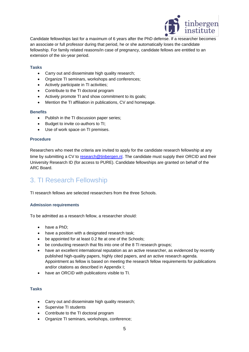

Candidate fellowships last for a maximum of 6 years after the PhD defense. If a researcher becomes an associate or full professor during that period, he or she automatically loses the candidate fellowship. For family related reasons/in case of pregnancy, candidate fellows are entitled to an extension of the six-year period.

### <span id="page-4-0"></span>**Tasks**

- Carry out and disseminate high quality research;
- Organize TI seminars, workshops and conferences;
- Actively participate in TI activities;
- Contribute to the TI doctoral program
- Actively promote TI and show commitment to its goals;
- Mention the TI affiliation in publications, CV and homepage.

#### <span id="page-4-1"></span>**Benefits**

- Publish in the TI discussion paper series;
- Budget to invite co-authors to TI;
- Use of work space on TI premises.

### <span id="page-4-2"></span>**Procedure**

Researchers who meet the criteria are invited to apply for the candidate research fellowship at any time by submitting a CV to [research@tinbergen.nl](https://webmail.login.vu.nl/OWA/redir.aspx?C=a4aO8YYyLqxUloY5BKLhT8BTOmbwnw5tt3HN2WbNLCxo02c_XSPUCA..&URL=mailto%3Aresearch@tinbergen.nl). The candidate must supply their ORCID and their University Research ID (for access to PURE). Candidate fellowships are granted on behalf of the ARC Board.

### <span id="page-4-3"></span>3. TI Research Fellowship

TI research fellows are selected researchers from the three Schools.

#### <span id="page-4-4"></span>**Admission requirements**

To be admitted as a research fellow, a researcher should:

- have a PhD;
- have a position with a designated research task;
- be appointed for at least 0.2 fte at one of the Schools;
- be conducting research that fits into one of the 8 TI research groups;
- have an excellent international reputation as an active researcher, as evidenced by recently published high-quality papers, highly cited papers, and an active research agenda. Appointment as fellow is based on meeting the research fellow requirements for publications and/or citations as described in Appendix I;
- have an ORCID with publications visible to TI.

### <span id="page-4-5"></span>**Tasks**

- Carry out and disseminate high quality research;
- Supervise TI students
- Contribute to the TI doctoral program
- Organize TI seminars, workshops, conference;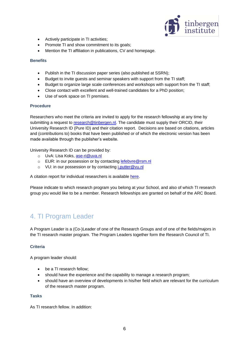

- Actively participate in TI activities;
- Promote TI and show commitment to its goals;
- Mention the TI affiliation in publications, CV and homepage.

### <span id="page-5-0"></span>**Benefits**

- Publish in the TI discussion paper series (also published at SSRN);
- Budget to invite guests and seminar speakers with support from the TI staff;
- Budget to organize large scale conferences and workshops with support from the TI staff;
- Close contact with excellent and well-trained candidates for a PhD position;
- Use of work space on TI premises.

### <span id="page-5-1"></span>**Procedure**

Researchers who meet the criteria are invited to apply for the research fellowship at any time by submitting a request to [research@tinbergen.nl.](https://webmail.login.vu.nl/OWA/redir.aspx?C=a4aO8YYyLqxUloY5BKLhT8BTOmbwnw5tt3HN2WbNLCxo02c_XSPUCA..&URL=mailto%3Aresearch@tinbergen.nl) The candidate must supply their ORCID, their University Research ID (Pure ID) and their citation report. Decisions are based on citations, articles and (contributions to) books that have been published or of which the electronic version has been made available through the publisher's website.

University Research ID can be provided by:

- o UvA: Lisa Koks, [ase-ri@uva.nl](mailto:ase-ri@uva.nl)
- o EUR: in our possession or by contacting [lefebvre@rsm.nl](mailto:lefebvre@rsm.nl)
- o VU: in our possession or by contacting *i.putter@vu.nl*

A citation report for individual researchers is available [here.](https://www.webofscience.com/wos/author/search)

Please indicate to which research program you belong at your School, and also of which TI research group you would like to be a member. Research fellowships are granted on behalf of the ARC Board.

### <span id="page-5-2"></span>4. TI Program Leader

A Program Leader is a (Co-)Leader of one of the Research Groups and of one of the fields/majors in the TI research master program. The Program Leaders together form the Research Council of TI.

### <span id="page-5-3"></span>**Criteria**

A program leader should:

- be a TI research fellow;
- should have the experience and the capability to manage a research program;
- should have an overview of developments in his/her field which are relevant for the curriculum of the research master program.

### <span id="page-5-4"></span>**Tasks**

As TI research fellow. In addition: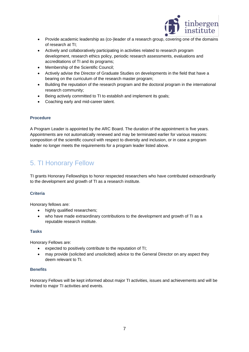

- Provide academic leadership as (co-)leader of a research group, covering one of the domains of research at TI;
- Actively and collaboratively participating in activities related to research program development, research ethics policy, periodic research assessments, evaluations and accreditations of TI and its programs;
- Membership of the Scientific Council;
- Actively advise the Director of Graduate Studies on developments in the field that have a bearing on the curriculum of the research master program;
- Building the reputation of the research program and the doctoral program in the international research community;
- Being actively committed to TI to establish and implement its goals;
- Coaching early and mid-career talent.

### <span id="page-6-0"></span>**Procedure**

A Program Leader is appointed by the ARC Board. The duration of the appointment is five years. Appointments are not automatically renewed and may be terminated earlier for various reasons: composition of the scientific council with respect to diversity and inclusion, or in case a program leader no longer meets the requirements for a program leader listed above.

# <span id="page-6-1"></span>5. TI Honorary Fellow

TI grants Honorary Fellowships to honor respected researchers who have contributed extraordinarily to the development and growth of TI as a research institute.

### <span id="page-6-2"></span>**Criteria**

Honorary fellows are:

- highly qualified researchers;
- who have made extraordinary contributions to the development and growth of TI as a reputable research institute.

### <span id="page-6-3"></span>**Tasks**

Honorary Fellows are:

- expected to positively contribute to the reputation of TI;
- may provide (solicited and unsolicited) advice to the General Director on any aspect they deem relevant to TI.

### <span id="page-6-4"></span>**Benefits**

Honorary Fellows will be kept informed about major TI activities, issues and achievements and will be invited to major TI activities and events.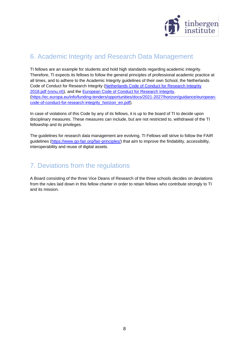

## <span id="page-7-0"></span>6. Academic Integrity and Research Data Management

TI fellows are an example for students and hold high standards regarding academic integrity. Therefore, TI expects its fellows to follow the general principles of professional academic practice at all times, and to adhere to the Academic Integrity guidelines of their own School, the Netherlands Code of Conduct for Research Integrity [\(Netherlands Code of Conduct for Research Integrity](https://www.vsnu.nl/files/documents/Netherlands%20Code%20of%20Conduct%20for%20Research%20Integrity%202018.pdf) [2018.pdf \(vsnu.nl\)\)](https://www.vsnu.nl/files/documents/Netherlands%20Code%20of%20Conduct%20for%20Research%20Integrity%202018.pdf), and the [European Code of Conduct for Research Integrity.](https://ec.europa.eu/info/funding-tenders/opportunities/docs/2021-2027/horizon/guidance/european-code-of-conduct-for-research-integrity_horizon_en.pdf) [\(https://ec.europa.eu/info/funding-tenders/opportunities/docs/2021-2027/horizon/guidance/european](https://ec.europa.eu/info/funding-tenders/opportunities/docs/2021-2027/horizon/guidance/european-code-of-conduct-for-research-integrity_horizon_en.pdf)[code-of-conduct-for-research-integrity\\_horizon\\_en.pdf\)](https://ec.europa.eu/info/funding-tenders/opportunities/docs/2021-2027/horizon/guidance/european-code-of-conduct-for-research-integrity_horizon_en.pdf).

In case of violations of this Code by any of its fellows, it is up to the board of TI to decide upon disciplinary measures. These measures can include, but are not restricted to, withdrawal of the TI fellowship and its privileges.

The guidelines for research data management are evolving. TI Fellows will strive to follow the FAIR guidelines [\(https://www.go-fair.org/fair-principles/\)](https://www.go-fair.org/fair-principles/) that aim to improve the findability, accessibility, interoperability and reuse of digital assets.

### <span id="page-7-1"></span>7. Deviations from the regulations

A Board consisting of the three Vice Deans of Research of the three schools decides on deviations from the rules laid down in this fellow charter in order to retain fellows who contribute strongly to TI and its mission.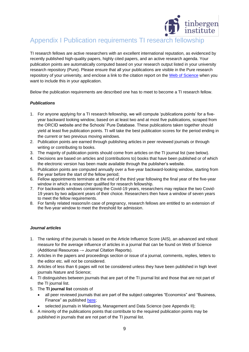

# <span id="page-8-0"></span>Appendix I Publication requirements TI research fellowship

TI research fellows are active researchers with an excellent international reputation, as evidenced by recently published high-quality papers, highly cited papers, and an active research agenda. Your publication points are automatically computed based on your research output listed in your university research repository (Pure). Please ensure that all your publications are visible in the Pure research repository of your university, and enclose a link to the citation report on the [Web of Science](https://www.webofscience.com/wos/author/search) when you want to include this in your application.

Below the publication requirements are described one has to meet to become a TI research fellow.

### *Publications*

- 1. For anyone applying for a TI research fellowship, we will compute 'publications points' for a fiveyear backward looking window, based on at least two and at most five publications, scraped from the ORCID website and the Schools' Pure Database. These publications taken together should yield at least five publication points. TI will take the best publication scores for the period ending in the current or two previous moving windows.
- 2. Publication points are earned through publishing articles in peer reviewed journals or through writing or contributing to books.
- 3. The majority of publication points should come from articles on the TI journal list (see below).
- 4. Decisions are based on articles and (contributions to) books that have been published or of which the electronic version has been made available through the publisher's website.
- 5. Publication points are computed annually over a five-year backward-looking window, starting from the year before the start of the fellow period;
- 6. Fellow appointments terminate at the end of the third year following the final year of the five-year window in which a researcher qualified for research fellowship.
- 7. For backwards windows containing the Covid-19 years, researchers may replace the two Covid-19 years by two adjacent years of their choice. Researchers then have a window of seven years to meet the fellow requirements.
- 8. For family related reasons/in case of pregnancy, research fellows are entitled to an extension of the five-year window to meet the threshold for admission.

### *Journal articles*

- 1. The ranking of the journals is based on the Article Influence Score (AIS), an advanced and robust measure for the average influence of articles in a journal that can be found on Web of Science (Additional Resources  $\rightarrow$  Journal Citation Reports).
- 2. Articles in the papers and proceedings section or issue of a journal, comments, replies, letters to the editor etc. will *not* be considered.
- 3. Articles of less than 6 pages will not be considered unless they have been published in high level journals Nature and Science;
- 4. TI distinguishes between journals that are part of the TI journal list and those that are not part of the TI journal list.
- 5. The **TI journal list** consists of
	- all peer reviewed journals that are part of the subject categories "Economics" and "Business, Finance" as published [here;](https://jcr.clarivate.com/jcr/browse-categories)
	- selected journals in Marketing, Management and Data Science (see Appendix II);
- 6. A minority of the publications points that contribute to the required publication points may be published in journals that are not part of the TI journal list.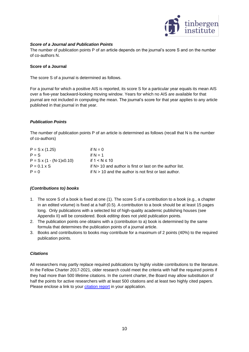

### *Score of a Journal and Publication Points*

The number of publication points P of an article depends on the journal's score S and on the number of co-authors N.

#### **Score of a Journal**

The score S of a journal is determined as follows.

For a journal for which a positive AIS is reported, its score S for a particular year equals its mean AIS over a five-year backward-looking moving window. Years for which no AIS are available for that journal are not included in computing the mean. The journal's score for that year applies to any article published in that journal in that year.

### *Publication Points*

The number of publication points P of an article is determined as follows (recall that N is the number of co-authors)

| $P = S \times (1.25)$           | if $N = 0$                                                |
|---------------------------------|-----------------------------------------------------------|
| $P = S$                         | if $N = 1$                                                |
| $P = S \times (1 - (N-1)x0.10)$ | if $1 < N \leq 10$                                        |
| $P = 0.1 \times S$              | if N > 10 and author is first or last on the author list. |
| $P = 0$                         | if $N > 10$ and the author is not first or last author.   |
|                                 |                                                           |

### *(Contributions to) books*

- 1. The score S of a book is fixed at one (1). The score S of a contribution to a book (e.g., a chapter in an edited volume) is fixed at a half (0.5). A contribution to a book should be at least 15 pages long. Only publications with a selected list of high-quality academic publishing houses (see Appendix II) will be considered. Book *editing* does not yield publication points.
- 2. The publication points one obtains with a (contribution to a) book is determined by the same formula that determines the publication points of a journal article.
- 3. Books and contributions to books may contribute for a maximum of 2 points (40%) to the required publication points.

#### *Citations*

All researchers may partly replace required publications by highly visible contributions to the literature. In the Fellow Charter 2017-2021, older research could meet the criteria with half the required points if they had more than 500 lifetime citations. In the current charter, the Board may allow substitution of half the points for active researchers with at least 500 citations and at least two highly cited papers. Please enclose a link to your *citation report* in your application.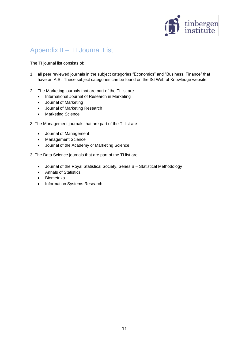

# <span id="page-10-0"></span>Appendix II – TI Journal List

The TI journal list consists of:

- 1. all peer reviewed journals in the subject categories "Economics" and "Business, Finance" that have an AIS. These subject categories can be found on the ISI Web of Knowledge website.
- 2. The Marketing journals that are part of the TI list are
	- International Journal of Research in Marketing
	- Journal of Marketing
	- Journal of Marketing Research
	- Marketing Science
- 3. The Management journals that are part of the TI list are
	- Journal of Management
	- Management Science
	- Journal of the Academy of Marketing Science
- 3. The Data Science journals that are part of the TI list are
	- Journal of the Royal Statistical Society, Series B Statistical Methodology
	- Annals of Statistics
	- Biometrika
	- Information Systems Research